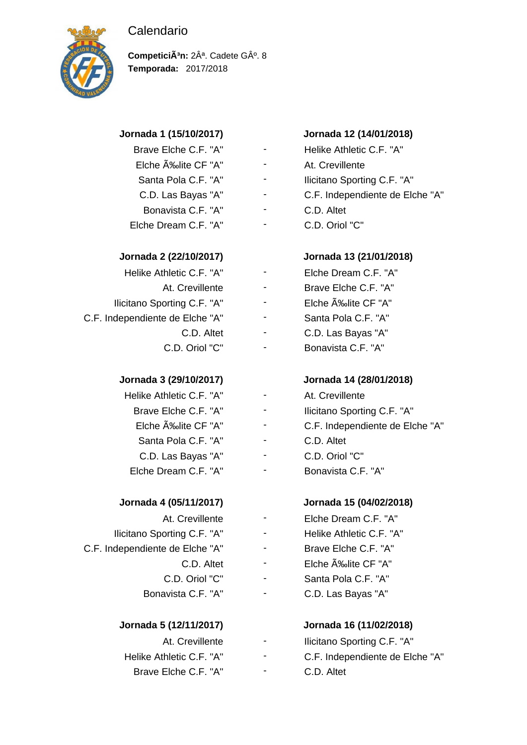# Calendario



CompeticiÃ<sup>3</sup>n: 2Â<sup>a</sup>. Cadete GÂ<sup>o</sup>. 8 **Temporada:** 2017/2018

- 
- 
- 

| Helike Athletic C.F. "A"        | Elche Dream C.F. "A" |
|---------------------------------|----------------------|
| At. Crevillente                 | Brave Elche C.F. "A" |
| llicitano Sporting C.F. "A"     | Elche A‰lite CF "A"  |
| C.F. Independiente de Elche "A" | Santa Pola C.F. "A"  |
| C.D. Altet                      | C.D. Las Bayas "A"   |
| C.D. Oriol "C"                  | Bonavista C.F. "A"   |

| Helike Athletic C.F. "A" |
|--------------------------|
| Brave Elche C.F. "A"     |
| Elche ĉlite CF "A"       |
| Santa Pola C.F. "A"      |
| C.D. Las Bayas "A"       |
| Elche Dream C.F. "A"     |

Ilicitano Sporting C.F. "A" - Helike Athletic C.F. "A" C.F. Independiente de Elche "A" - Brave Elche C.F. "A"

| At. Crevillente          |
|--------------------------|
| Helike Athletic C.F. "A" |
| Brave Elche C.F. "A"     |

# **Jornada 1 (15/10/2017) Jornada 12 (14/01/2018)**

Brave Elche C.F. "A" - Helike Athletic C.F. "A" Elche ĉlite CF "A" - At. Crevillente Santa Pola C.F. "A" - Ilicitano Sporting C.F. "A" C.D. Las Bayas "A" - C.F. Independiente de Elche "A" Bonavista C.F. "A" - C.D. Altet Elche Dream C.F. "A" - C.D. Oriol "C"

# **Jornada 2 (22/10/2017) Jornada 13 (21/01/2018)**

- 
- 
- 
- 
- 

# **Jornada 3 (29/10/2017) Jornada 14 (28/01/2018)**

At. Crevillente Ilicitano Sporting C.F. "A" C.F. Independiente de Elche "A" C.D. Altet C.D. Oriol "C" Bonavista C.F. "A"

# **Jornada 4 (05/11/2017) Jornada 15 (04/02/2018)**

- At. Crevillente Elche Dream C.F. "A"
	-
	-
	- C.D. Altet Elche ĉlite CF "A"
- C.D. Oriol "C" Santa Pola C.F. "A"
- Bonavista C.F. "A" C.D. Las Bayas "A"

# **Jornada 5 (12/11/2017) Jornada 16 (11/02/2018)**

Ilicitano Sporting C.F. "A" C.F. Independiente de Elche "A" C.D. Altet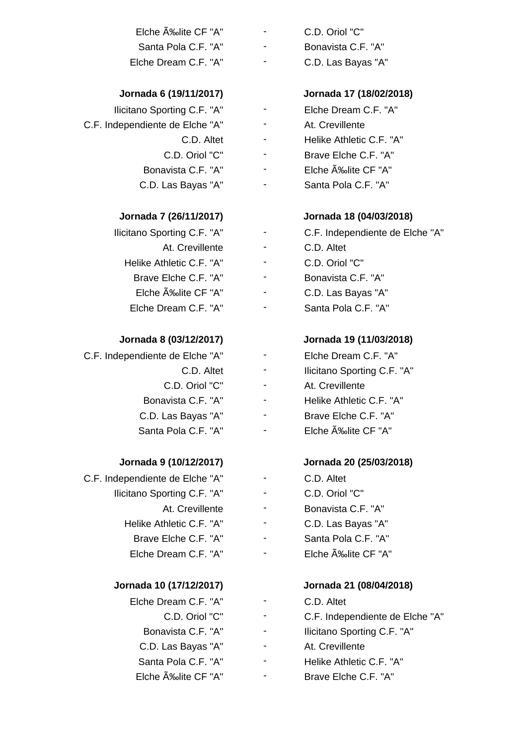| Elche A‰lite CF "A"  | ٠                        | C.D. Oriol "C"     |
|----------------------|--------------------------|--------------------|
| Santa Pola C.F. "A"  | -                        | Bonavista C.F. "A" |
| Elche Dream C.F. "A" | $\overline{\phantom{0}}$ | C.D. Las Bayas "A" |

| Ilicitano Sporting C.F. "A"     |
|---------------------------------|
| C.F. Independiente de Elche "A" |
| C.D. Altet                      |
| C.D. Oriol "C"                  |
| Bonavista C.F. "A"              |
| C.D. Las Bavas "A"              |

### **Jornada 7 (26/11/2017) Jornada 18 (04/03/2018)**

| llicitano Sporting C.F. "A" |  |
|-----------------------------|--|
| At. Crevillente             |  |
| Helike Athletic C.F. "A"    |  |
| Brave Elche C.F. "A"        |  |
| Elche ĉlite CF "A"          |  |
| Elche Dream C.F. "A"        |  |

| C.F. Independiente de Elche "A" |  |
|---------------------------------|--|
| C.D. Altet                      |  |
| C.D. Oriol "C"                  |  |
| Bonavista C.F. "A"              |  |
| C.D. Las Bayas "A"              |  |
| Santa Pola C.F. "A"             |  |

| C.F. Independiente de Elche "A" |  |
|---------------------------------|--|
| llicitano Sporting C.F. "A"     |  |
| At. Crevillente                 |  |
| Helike Athletic C.F. "A"        |  |
| Brave Elche C.F. "A"            |  |
| Elche Dream C.F. "A"            |  |

### **Jornada 10 (17/12/2017) Jornada 21 (08/04/2018)**

| Elche Dream C.F. "A" |
|----------------------|
| C.D. Oriol "C"       |
| Bonavista C.F. "A"   |
| C.D. Las Bayas "A"   |
| Santa Pola C.F. "A"  |
| Elche Élite CF "A"   |

# **Jornada 6 (19/11/2017) Jornada 17 (18/02/2018)**

Elche Dream C.F. "A" - At. Crevillente Helike Athletic C.F. "A" Brave Elche C.F. "A" Elche ĉlite CF "A"

Santa Pola C.F. "A"

- C.F. Independiente de Elche "A" C.D. Altet - C.D. Oriol "C" Bonavista C.F. "A" - C.D. Las Bayas "A" Santa Pola C.F. "A"

### **Jornada 8 (03/12/2017) Jornada 19 (11/03/2018)**

C.F. Independiente de Elche "A" - Elche Dream C.F. "A" - Ilicitano Sporting C.F. "A" - At. Crevillente - Helike Athletic C.F. "A" Brave Elche C.F. "A" Elche ĉlite CF "A"

### **Jornada 9 (10/12/2017) Jornada 20 (25/03/2018)**

- C.D. Altet - C.D. Oriol "C"
- Bonavista C.F. "A"
- C.D. Las Bayas "A"
- Santa Pola C.F. "A"
- Elche ĉlite CF "A"

- Elche Dream C.F. "A" C.D. Altet C.F. Independiente de Elche "A" Ilicitano Sporting C.F. "A"
	- At. Crevillente
	- Helike Athletic C.F. "A"
	- Brave Elche C.F. "A"